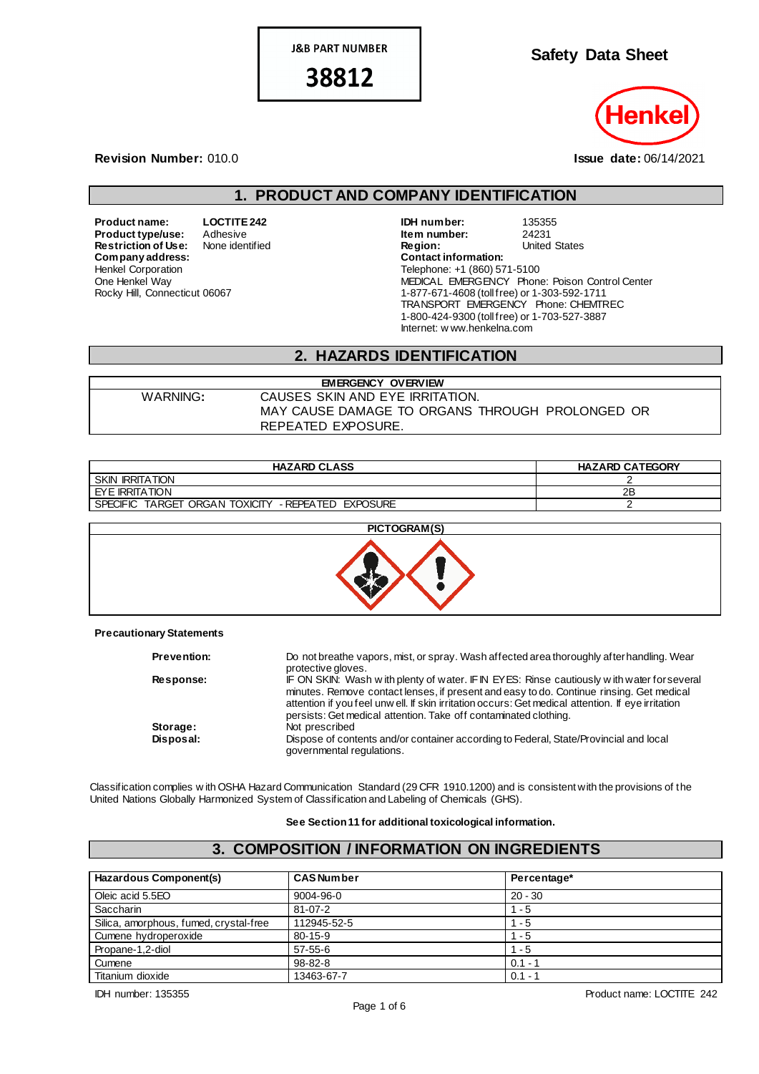**J&B PART NUMBER** 

38812

**Safety Data Sheet**



#### **Revision Number:** 010.0 **Issue date:** 06/14/2021

## **1. PRODUCT AND COMPANY IDENTIFICATION**

**Restriction of Use:**<br>Company address: Henkel Corporation One Henkel Way Rocky Hill, Connecticut 06067

**Product name: LOCTITE 242 IDH number:** 135355<br> **Product type/use:** Adhesive **Integrate 124231 Integral distribution Integral Product type/use:** Adhesive **In the Adduct 1998 Restriction of Use:** None identified **In the Integral Conduct 24231**<br> **Restriction of Use:** None identified **Integral Conduct 24231 Region:** United States **Company address: Contact information:** Telephone: +1 (860) 571-5100 MEDICAL EMERGENCY Phone: Poison Control Center 1-877-671-4608 (toll free) or 1-303-592-1711 TRANSPORT EMERGENCY Phone: CHEMTREC 1-800-424-9300 (toll free) or 1-703-527-3887 Internet: w ww.henkelna.com

### **2. HAZARDS IDENTIFICATION**

| <b>EMERGENCY OVERVIEW</b> |                                                 |  |
|---------------------------|-------------------------------------------------|--|
| WARNING:                  | CAUSES SKIN AND EYE IRRITATION.                 |  |
|                           | MAY CAUSE DAMAGE TO ORGANS THROUGH PROLONGED OR |  |
|                           | REPEATED EXPOSURE.                              |  |

| <b>HAZARD CLASS</b>                                                                | <b>HAZARD CATEGORY</b> |
|------------------------------------------------------------------------------------|------------------------|
| <b>SKIN IRRITATION</b>                                                             |                        |
| I EYE IRRITATION                                                                   | 2Β                     |
| <sup>-</sup> ORGAN TOXICITY<br>- REPEATED<br>TARGET<br>EXPOSURE<br><b>SPECIFIC</b> |                        |



#### **Precautionary Statements**

| <b>Prevention:</b> | Do not breathe vapors, mist, or spray. Wash affected area thoroughly after handling. Wear<br>protective gloves.                                                                                                                                                                                                                                                  |
|--------------------|------------------------------------------------------------------------------------------------------------------------------------------------------------------------------------------------------------------------------------------------------------------------------------------------------------------------------------------------------------------|
| Response:          | IF ON SKIN: Wash with plenty of water. IF IN EYES: Rinse cautiously with water for several<br>minutes. Remove contact lenses, if present and easy to do. Continue rinsing. Get medical<br>attention if you feel unw ell. If skin irritation occurs: Get medical attention. If eye irritation<br>persists: Get medical attention. Take off contaminated clothing. |
| Storage:           | Not prescribed                                                                                                                                                                                                                                                                                                                                                   |
| Disposal:          | Dispose of contents and/or container according to Federal, State/Provincial and local<br>governmental regulations.                                                                                                                                                                                                                                               |

Classification complies w ith OSHA Hazard Communication Standard (29 CFR 1910.1200) and is consistent with the provisions of the United Nations Globally Harmonized System of Classification and Labeling of Chemicals (GHS).

#### **See Section 11 for additional toxicological information.**

## **3. COMPOSITION / INFORMATION ON INGREDIENTS**

| <b>Hazardous Component(s)</b>          | <b>CAS Number</b> | Percentage* |  |
|----------------------------------------|-------------------|-------------|--|
| Oleic acid 5.5EO                       | 9004-96-0         | $20 - 30$   |  |
| Saccharin                              | $81 - 07 - 2$     | $-5$        |  |
| Silica, amorphous, fumed, crystal-free | 112945-52-5       | - 5         |  |
| Cumene hydroperoxide                   | $80 - 15 - 9$     | $-5$        |  |
| Propane-1,2-diol                       | $57 - 55 - 6$     | $-5$        |  |
| Cumene                                 | 98-82-8           | $0.1 - 1$   |  |
| Titanium dioxide                       | 13463-67-7        | $0.1 - 1$   |  |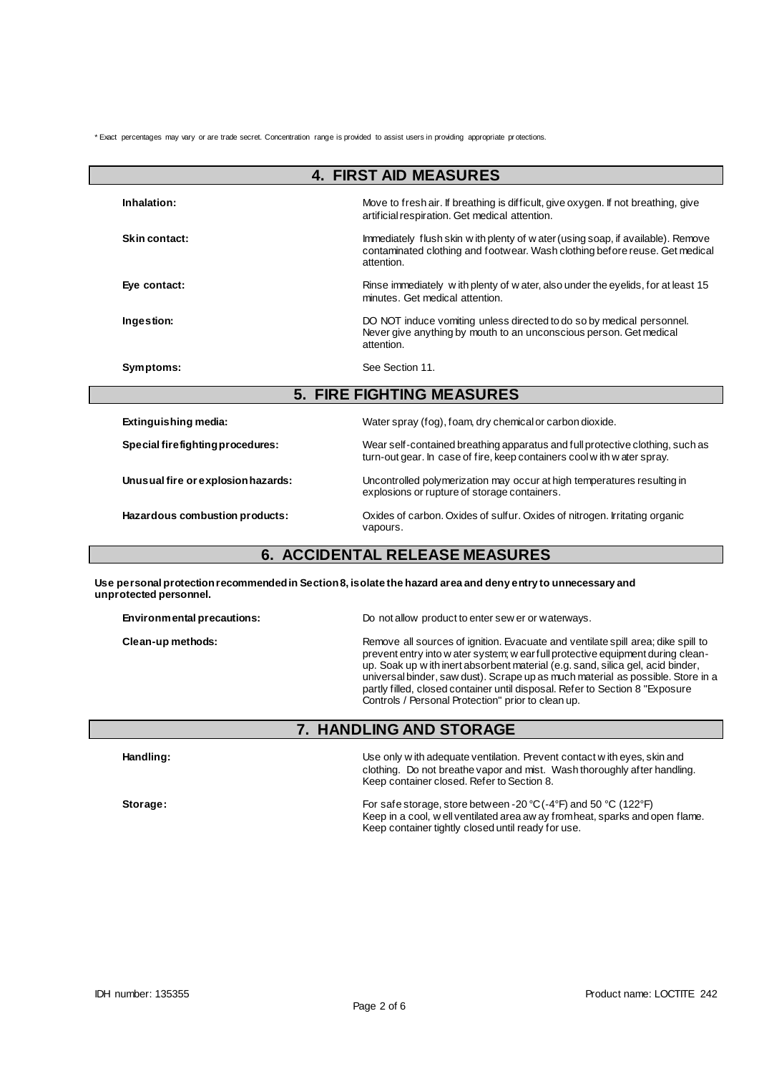\* Exact percentages may vary or are trade secret. Concentration range is provided to assist users in providing appropriate pr otections.

| <b>4. FIRST AID MEASURES</b>       |                                                                                                                                                                               |  |  |
|------------------------------------|-------------------------------------------------------------------------------------------------------------------------------------------------------------------------------|--|--|
| Inhalation:                        | Move to fresh air. If breathing is difficult, give oxygen. If not breathing, give<br>artificial respiration. Get medical attention.                                           |  |  |
| Skin contact:                      | Immediately flush skin w ith plenty of w ater (using soap, if available). Remove<br>contaminated clothing and footwear. Wash clothing before reuse. Get medical<br>attention. |  |  |
| Eye contact:                       | Rinse immediately with plenty of water, also under the eyelids, for at least 15<br>minutes. Get medical attention.                                                            |  |  |
| Ingestion:                         | DO NOT induce vomiting unless directed to do so by medical personnel.<br>Never give anything by mouth to an unconscious person. Get medical<br>attention.                     |  |  |
| Symptoms:                          | See Section 11.                                                                                                                                                               |  |  |
| <b>5. FIRE FIGHTING MEASURES</b>   |                                                                                                                                                                               |  |  |
| Extinguishing media:               | Water spray (fog), foam, dry chemical or carbon dioxide.                                                                                                                      |  |  |
| Special firefighting procedures:   | Wear self-contained breathing apparatus and full protective clothing, such as<br>turn-out gear. In case of fire, keep containers cool with water spray.                       |  |  |
| Unusual fire or explosion hazards: | Uncontrolled polymerization may occur at high temperatures resulting in<br>explosions or rupture of storage containers.                                                       |  |  |
| Hazardous combustion products:     | Oxides of carbon. Oxides of sulfur. Oxides of nitrogen. Irritating organic<br>vapours.                                                                                        |  |  |
|                                    | <b>6. ACCIDENTAL RELEASE MEASURES</b>                                                                                                                                         |  |  |

**Use personal protection recommended in Section 8, isolate the hazard area and deny entry to unnecessary and unprotected personnel.**

**Environmental precautions:** Do not allow product to enter sew er or waterways.

**Clean-up methods:** Remove all sources of ignition. Evacuate and ventilate spill area; dike spill to clean-up methods: prevent entry into w ater system; w ear full protective equipment during cleanup. Soak up w ith inert absorbent material (e.g. sand, silica gel, acid binder, universal binder, saw dust). Scrape up as much material as possible. Store in a partly filled, closed container until disposal. Refer to Section 8 "Exposure Controls / Personal Protection" prior to clean up.

## **7. HANDLING AND STORAGE**

**Handling:** Use only w ith adequate ventilation. Prevent contact w ith eyes, skin and clothing. Do not breathe vapor and mist. Wash thoroughly after handling. Keep container closed. Refer to Section 8.

**Storage:** For safe storage, store between -20 °C (-4°F) and 50 °C (122°F) Keep in a cool, w ell ventilated area aw ay from heat, sparks and open flame. Keep container tightly closed until ready for use.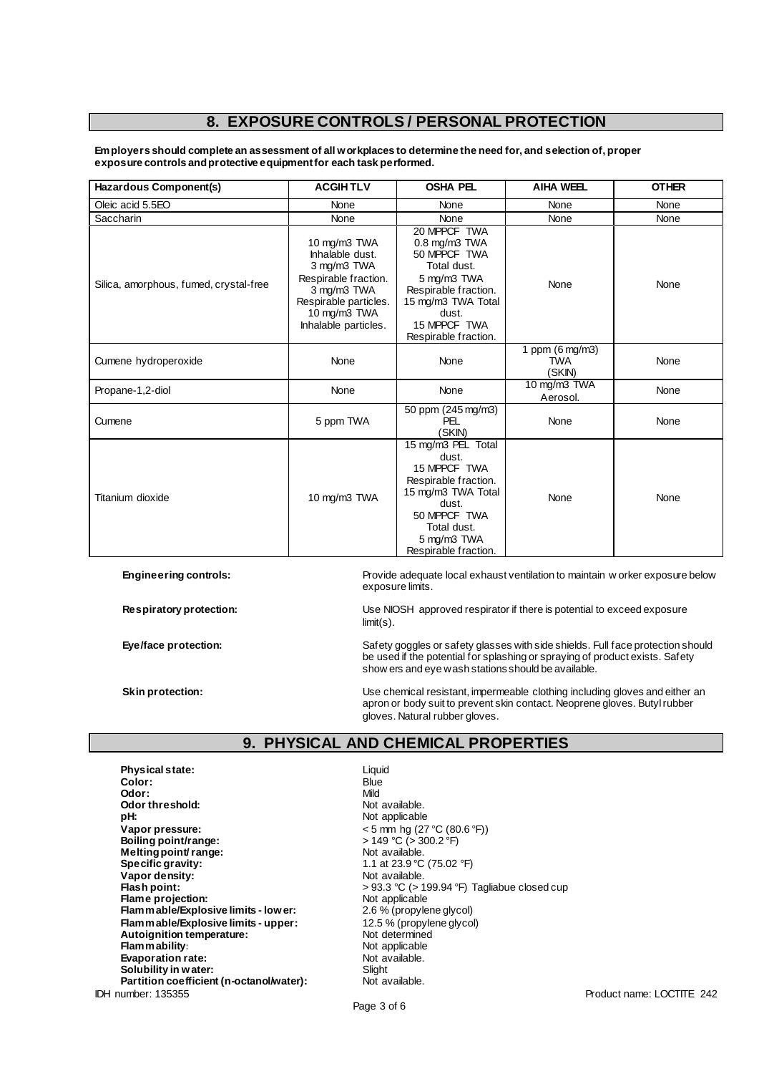# **8. EXPOSURE CONTROLS / PERSONAL PROTECTION**

**Employers should complete an assessment of all workplaces to determine the need for, and selection of, proper exposure controls and protective equipment for each task performed.**

| Hazardous Component(s)                 | <b>ACGIHTLV</b>                                                                                                                                        | <b>OSHA PEL</b>                                                                                                                                                                 | <b>AIHA WEEL</b>                                  | <b>OTHER</b> |
|----------------------------------------|--------------------------------------------------------------------------------------------------------------------------------------------------------|---------------------------------------------------------------------------------------------------------------------------------------------------------------------------------|---------------------------------------------------|--------------|
| Oleic acid 5.5EO                       | None                                                                                                                                                   | None                                                                                                                                                                            | None                                              | None         |
| <b>Saccharin</b>                       | None                                                                                                                                                   | None                                                                                                                                                                            | None                                              | None         |
| Silica, amorphous, fumed, crystal-free | 10 mg/m3 TWA<br>Inhalable dust.<br>3 mg/m3 TWA<br>Respirable fraction.<br>3 mg/m3 TWA<br>Respirable particles.<br>10 mg/m3 TWA<br>Inhalable particles. | 20 MPPCF TWA<br>$0.8$ mg/m $3$ TWA<br>50 MPPCF TWA<br>Total dust.<br>5 mg/m3 TWA<br>Respirable fraction.<br>15 mg/m3 TWA Total<br>dust.<br>15 MPPCF TWA<br>Respirable fraction. | None                                              | None         |
| Cumene hydroperoxide                   | None                                                                                                                                                   | None                                                                                                                                                                            | 1 ppm $(6 \text{ mg/m3})$<br><b>TWA</b><br>(SKIN) | None         |
| Propane-1,2-diol                       | None                                                                                                                                                   | None                                                                                                                                                                            | 10 mg/m3 TWA<br>Aerosol.                          | None         |
| Cumene                                 | 5 ppm TWA                                                                                                                                              | 50 ppm (245 mg/m3)<br><b>PEL</b><br>(SKIN)                                                                                                                                      | None                                              | None         |
| Titanium dioxide                       | 10 mg/m3 TWA                                                                                                                                           | 15 mg/m3 PEL Total<br>dust.<br>15 MPPCF TWA<br>Respirable fraction.<br>15 mg/m3 TWA Total<br>dust.<br>50 MPPCF TWA<br>Total dust.<br>5 mg/m3 TWA<br>Respirable fraction.        | None                                              | None         |

**Engineering controls:** Provide adequate local exhaust ventilation to maintain w orker exposure below exposure limits.

**Respiratory protection:** Use NIOSH approved respirator if there is potential to exceed exposure limit(s).

Eye/face protection: Safety goggles or safety glasses with side shields. Full face protection should be used if the potential for splashing or spraying of product exists. Safety show ers and eye wash stations should be available.

**Skin protection:** Use chemical resistant, impermeable clothing including gloves and either an apron or body suit to prevent skin contact. Neoprene gloves. Butyl rubber gloves. Natural rubber gloves.

## **9. PHYSICAL AND CHEMICAL PROPERTIES**

IDH number: 135355 Product name: LOCTITE 242 **Physical state:** Liquid Color: Liquid Color: Liquid Color: Liquid Color: Liquid Color: Liquid Color: Liquid Color: Liquid Color: Liquid Color: Liquid Color: Liquid Color: Liquid Color: Liquid Color: Liquid Color: Liquid C **Color:** Blue **Odor:** Mild **Odor threshold:** Not available.<br> **pH:** Not applicable **Vapor pressure:** < 5 mm hg (27 °C (80.6 °F)) **Boiling point/range:**<br> **Melting point/ range:**<br> **Melting point/ range:**<br> **Solution Melting point/ range:**<br>Specific gravity: **Vapor density:**<br>Flash point: **Flame projection:**<br> **Flammable/Explosive limits - lower:** 2.6 % (propylene glycol) **Flammable/Explosive limits - lower: Flammable/Explosive limits - upper:** 12.5 % (propylene glycol)<br> **Autoignition temperature:** Not determined **Autoignition temperature:** Not determined<br> **Flam mability:** Not applicable **Flammability:**<br> **Evaporation rate:**<br> **Evaporation rate:**<br> **Evaporation rate: Evaporation rate:** Not available. Not available to the Slight of available. Not available. Not available. Not av<br> **Solubility in water:** Not available. Not available. Not available. Not available. Not available. Not avail **Solubility in water:** Slight Solubility in water:<br> **Partition coefficient (n-octanol/water):** Not available. Partition coefficient (n-octanol/water):

Not applicable 1.1 at 23.9 °C (75.02 °F)<br>Not available. > 93.3 °C (> 199.94 °F) Tagliabue closed cup<br>Not applicable

Page 3 of 6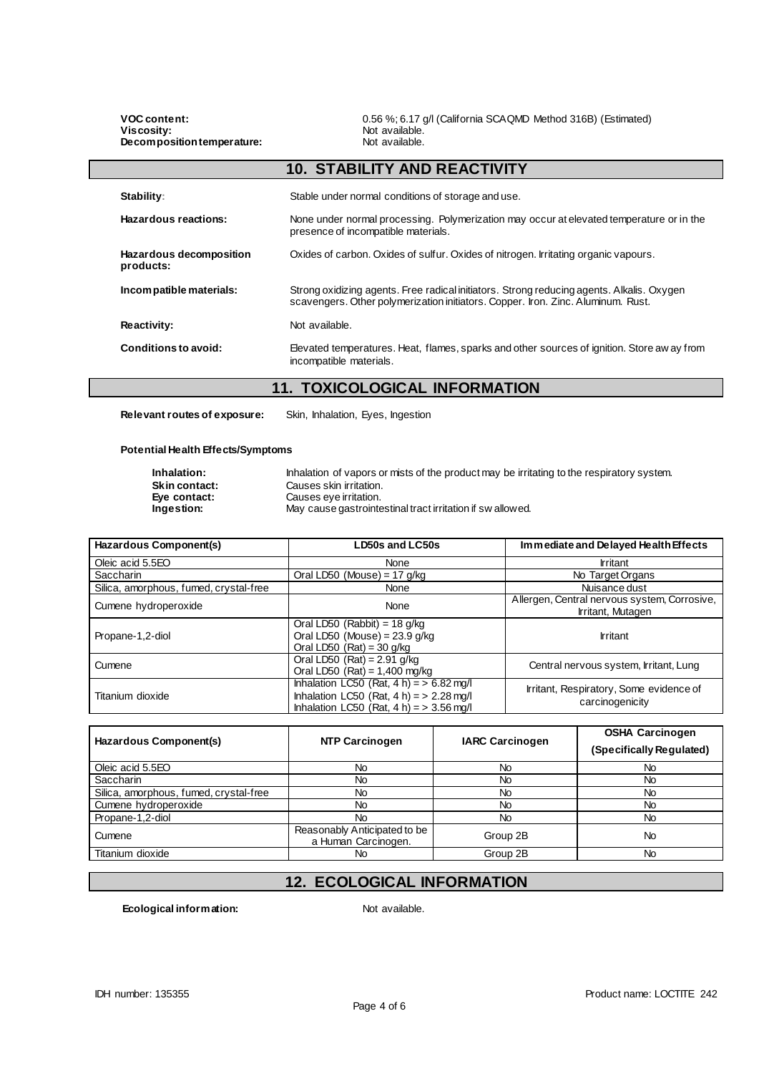**VOC content:** 0.56 %; 6.17 g/l (California SCAQMD Method 316B) (Estimated)<br>Viscosity: Not available. **Not available.**<br>Not available. **Decomposition temperature: 10. STABILITY AND REACTIVITY** Stability: Stable under normal conditions of storage and use. **Hazardous reactions:** None under normal processing. Polymerization may occur at elevated temperature or in the presence of incompatible materials. **Hazardous decomposition products:** Oxides of carbon. Oxides of sulfur. Oxides of nitrogen. Irritating organic vapours. **Incompatible materials:** Strong oxidizing agents. Free radical initiators. Strong reducing agents. Alkalis. Oxygen scavengers. Other polymerization initiators. Copper. Iron. Zinc. Aluminum. Rust. **Reactivity:** Not available. **Conditions to avoid:** Elevated temperatures. Heat, flames, sparks and other sources of ignition. Store aw ay from incompatible materials.

## **11. TOXICOLOGICAL INFORMATION**

**Relevant routes of exposure:** Skin, Inhalation, Eyes, Ingestion

#### **Potential Health Effects/Symptoms**

| Inhalation:          | Inhalation of vapors or mists of the product may be irritating to the respiratory system. |
|----------------------|-------------------------------------------------------------------------------------------|
| <b>Skin contact:</b> | Causes skin irritation.                                                                   |
| Eve contact:         | Causes eve irritation.                                                                    |
| Ingestion:           | May cause gastrointestinal tract irritation if swallowed.                                 |

| Hazardous Component(s)                 | LD50s and LC50s                                                                                                                             | Immediate and Delayed Health Effects                              |
|----------------------------------------|---------------------------------------------------------------------------------------------------------------------------------------------|-------------------------------------------------------------------|
| Oleic acid 5.5EO                       | None                                                                                                                                        | <b>Irritant</b>                                                   |
| <b>Saccharin</b>                       | Oral LD50 (Mouse) = $17$ g/kg                                                                                                               | No Target Organs                                                  |
| Silica, amorphous, fumed, crystal-free | None                                                                                                                                        | Nuisance dust                                                     |
| Cumene hydroperoxide<br>None           |                                                                                                                                             | Allergen, Central nervous system, Corrosive,<br>Irritant, Mutagen |
| Propane-1,2-diol                       | Oral LD50 (Rabbit) = $18$ g/kg<br>Oral LD50 (Mouse) = $23.9$ g/kg<br>Oral LD50 $(Rat) = 30$ g/kg                                            | <b>Irritant</b>                                                   |
| Cumene                                 | Oral LD50 $(Rat) = 2.91$ g/kg<br>Oral LD50 $(Rat) = 1,400$ mg/kg                                                                            | Central nervous system, Irritant, Lung                            |
| Titanium dioxide                       | Inhalation LC50 (Rat, $4 h$ ) = $> 6.82$ mg/l<br>Inhalation LC50 (Rat, $4 h$ ) = > 2.28 mg/l<br>Inhalation LC50 (Rat, $4 h$ ) = > 3.56 mg/l | Irritant, Respiratory, Some evidence of<br>carcinogenicity        |

| Hazardous Component(s)                 | <b>NTP Carcinogen</b>                               | <b>IARC Carcinogen</b> | <b>OSHA Carcinogen</b><br>(Specifically Regulated) |
|----------------------------------------|-----------------------------------------------------|------------------------|----------------------------------------------------|
| Oleic acid 5.5EO                       | No                                                  | No                     | No                                                 |
| <b>Saccharin</b>                       | No                                                  | No                     | No                                                 |
| Silica, amorphous, fumed, crystal-free | No                                                  | No                     | No                                                 |
| Cumene hydroperoxide                   | No                                                  | No                     | No                                                 |
| Propane-1,2-diol                       | No                                                  | No                     | No                                                 |
| Cumene                                 | Reasonably Anticipated to be<br>a Human Carcinogen. | Group 2B               | No                                                 |
| Titanium dioxide                       | No                                                  | Group 2B               | No                                                 |

# **12. ECOLOGICAL INFORMATION**

**Ecological information:** Not available.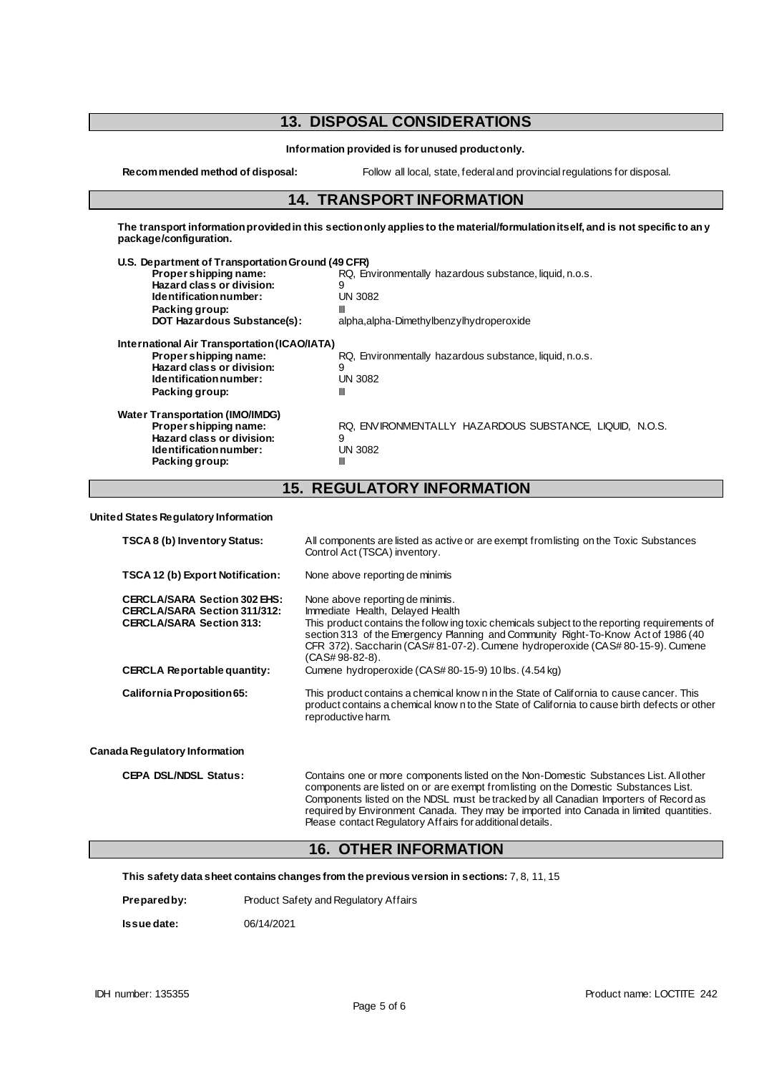# **13. DISPOSAL CONSIDERATIONS**

**Information provided is for unused product only.**

**Recommended method of disposal:** Follow all local, state, federal and provincial regulations for disposal.

### **14. TRANSPORT INFORMATION**

**The transport information provided in this section only applies to the material/formulation itself, and is not specific to any package/configuration.**

| U.S. Department of Transportation Ground (49 CFR) |                                                         |
|---------------------------------------------------|---------------------------------------------------------|
| Propershipping name:                              | RQ, Environmentally hazardous substance, liquid, n.o.s. |
| Hazard class or division:                         | 9                                                       |
| Identification number:                            | <b>UN 3082</b>                                          |
| Packing group:                                    | Ш                                                       |
| <b>DOT Hazardous Substance(s):</b>                | alpha, alpha-Dimethylbenzylhydroperoxide                |
| International Air Transportation (ICAO/IATA)      |                                                         |
| Proper shipping name:                             | RQ, Environmentally hazardous substance, liquid, n.o.s. |
| Hazard class or division:                         | 9                                                       |
| Identification number:                            | <b>UN 3082</b>                                          |
| Packing group:                                    | Ш                                                       |
| <b>Water Transportation (IMO/IMDG)</b>            |                                                         |
| Proper shipping name:                             | RQ, ENVIRONMENTALLY HAZARDOUS SUBSTANCE, LIQUID, N.O.S. |
| Hazard class or division:                         | 9                                                       |
| Identification number:                            | <b>UN 3082</b>                                          |
| Packing group:                                    | Ш                                                       |
|                                                   |                                                         |

## **15. REGULATORY INFORMATION**

**United States Regulatory Information**

| TSCA 8 (b) Inventory Status:                                                                                  | All components are listed as active or are exempt from listing on the Toxic Substances<br>Control Act (TSCA) inventory.                                                                                                                                                                                                                                                                                                       |
|---------------------------------------------------------------------------------------------------------------|-------------------------------------------------------------------------------------------------------------------------------------------------------------------------------------------------------------------------------------------------------------------------------------------------------------------------------------------------------------------------------------------------------------------------------|
| <b>TSCA 12 (b) Export Notification:</b>                                                                       | None above reporting de minimis                                                                                                                                                                                                                                                                                                                                                                                               |
| <b>CERCLA/SARA Section 302 EHS:</b><br><b>CERCLA/SARA Section 311/312:</b><br><b>CERCLA/SARA Section 313:</b> | None above reporting de minimis.<br>Immediate Health, Delayed Health<br>This product contains the follow ing toxic chemicals subject to the reporting requirements of<br>section 313 of the Emergency Planning and Community Right-To-Know Act of 1986 (40<br>CFR 372). Saccharin (CAS#81-07-2). Cumene hydroperoxide (CAS#80-15-9). Cumene<br>(CAS#98-82-8).                                                                 |
| <b>CERCLA Reportable quantity:</b>                                                                            | Cumene hydroperoxide (CAS#80-15-9) 10 lbs. (4.54 kg)                                                                                                                                                                                                                                                                                                                                                                          |
| California Proposition 65:                                                                                    | This product contains a chemical know n in the State of California to cause cancer. This<br>product contains a chemical know n to the State of California to cause birth defects or other<br>reproductive harm.                                                                                                                                                                                                               |
| Canada Regulatory Information                                                                                 |                                                                                                                                                                                                                                                                                                                                                                                                                               |
| <b>CEPA DSL/NDSL Status:</b>                                                                                  | Contains one or more components listed on the Non-Domestic Substances List. All other<br>components are listed on or are exempt from listing on the Domestic Substances List.<br>Components listed on the NDSL must be tracked by all Canadian Importers of Record as<br>required by Environment Canada. They may be imported into Canada in limited quantities.<br>Please contact Regulatory Affairs for additional details. |

### **16. OTHER INFORMATION**

**This safety data sheet contains changes from the previous version in sections:** 7, 8, 11, 15

**Prepared by:** Product Safety and Regulatory Affairs

**Issue date:** 06/14/2021